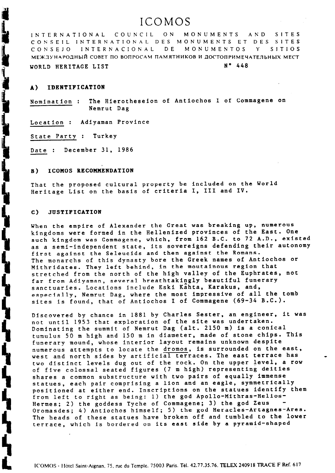# ICOMOS

INTERNATIONAL COUNCIL ON MONUMENTS AND SITES CONSEIL INTERNATIONAL DES MONUMENTS ET DES SITES CONSEJO INTERNACIONAL DE MONUMENTOS Y SITIOS МЕЖДУНАРОДНЫЙ СОВЕТ ПО ВОПРОСАМ ПАМЯТНИКОВ И ДОСТОПРИМЕЧАТЕЛЬНЫХ МЕСТ WORLD HERITAGE LIST N° 448

## A) IDENTIFICATION

Nomination : The Hierotheseion of Antiochos I of Commagene on Nemrut Dag

Location : Adiyaman Province

State Party : Turkey

Date : December 31, 1986

### B) ICOMOS RECOMMENDATION

That the proposed cultural property be included on the World Heritage List on the basis of criteria I, III and IV.

### C) JUSTIFICATION

and the same of the same of the same of the same of the same of the same of the same of the same of the same of the same of the same of the same of the same of the same of the same of the same of the same of the same of th

┪**┪┛┛** 

When the empire of Alexander the Great was breaking up, numerous kingdoms were formed in the Hellenized provinces of the East. One such kingdom was Commagene, which, from 162 B.C. to 72 A.D., existed as a semi-independent state, its sovereigns defending their autonomy first against the Seleucids and then against the Romans. The monarchs of this dynasty bore the Greek names of Antiochos or Mithridates. They left behind, in the moutainous region that stretched from the north of the high valley of the Euphrates, not far from Adiyaman, several breathtakingly beautiful funerary sanctuaries. Locations include Eski Kahta, Karakus, and, especially, Nemrut Dag, where the most impressive of all the tomb sites is found, that of Antiochos I of Commagene (69-34 B.C.).

Discovered by chance in 1881 by Charles Sester, an engineer, it was not until 1953 that exploration of the site was undertaken. Dominating the summit of Nemrut Dag (alt. 2150 m) is a conical tumulus 50 m high and 150 m in diameter, made of stone chips. This funerary mound, whose interior layout remains unknown despite numerous attempts to locate the dromos, is surrounded on the east, west and north sides by artificial terraces. The east terrace has two distinct levels dug out of the rock. On the upper level, a row of five colossal seated figures (7 m high) representing deities shares a common substructure with two pairs of equally immense statues, each pair comprising a lion and an eagle, symmetrically positioned at either end. Inscriptions on the statues identify them from left to right as being: 1) the god Apollo-Mithras-Helios-Hermes; 2) the goddess Tyche of Commagene; 3) the god Zeus Oromasdes; 4) Antiochos himself; 5) the god Heracles-Artagnes-Ares. The heads of these statues have broken off and tumbled to the lower terrace, which is bordered on its east side by a pyramid-shaped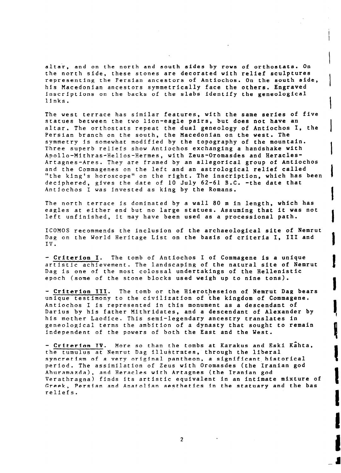altar, and on the north and south sides by rows of orthostats. On the north side, these stones are decorated with relief sculptures representing the Fersian ancestors of Antiochos. On the south side, his Macedonian ancestors symmetrically face the others. Engraved inscriptions on the backs of the slabs identify the geneological links.

 $\vert$ 

 $\vert$ 

 $\vert$ 

I

I

**|** 

I

I

I

The west terrace has similar features, with the same series of five statues between the two lion-eagle pairs, but does not have an altar. The orthostats repeat the dual geneology of Antiochos I, the Persian branch on the south, the Macedonian on the west. The symmetry is somewhat modified by the topography of the mountain. Three superb reliefs show Antiochos exchanging a handshake with Apollo-Mithras-Helios-Hermes, with Zeus-Oromasdes and Heracles-Artagnes-Ares. They are framed by an allegorical group of Antiochos and the Commagenes on the left and an astrological relief called "the king's horoscope" on the right. The inscription, which has been deciphered, gives the date of 10 July 62-61 B.C. -the date that Antiochos I was invested as king by the Romans.

The north terrace is dominated by a wall 80 m in length, which has eagles at either end but no large statues. Assuming that it was not left unfinished, it may have been used as a processional path.

ICOMOS recommends the inclusion of the archaeological site of Nemrut Dag on the World Heritage List on the basis of criteria I, III and IV.

- Criterion I. The tomb of Antiochos I of Commagene is a unique artistic achievement. The landscaping of the natural site of Nemrut Dag is one of the most colossal undertakings of the Hellenistic epoch (some of the stone blocks used weigh up to nine tons).

- Criterion III. The tomb or the Hierotheseion of Nemrut Dag bears unique testimony to the civilization of the kingdom of Commagene. Antiochos I is represented in this monument as a descendant of Darius by his father Mithridates, and a descendant of Alexander by his mother Laodice. This semi-legendary ancestry translates in geneological terms the ambition of a dynasty that sought to remain independent of the powers of both the East and the West.

- Criterion IV. More so than the tombs at Karakus and Eski Kahta, the tumulus at Nemrut Dag illustrates, through the liberal syncretism of a very original pantheon, a significant historical period. The assimilation of Zeus with Oromasdes (the Iranian god Ahuramazda), and Heracles with Artagnes (the Iranian god Verathragna) finds its artistic equivalent in an intimate mixture of Greek, Persian and Anatolian aesthetics in the statuary and the bas reliefs.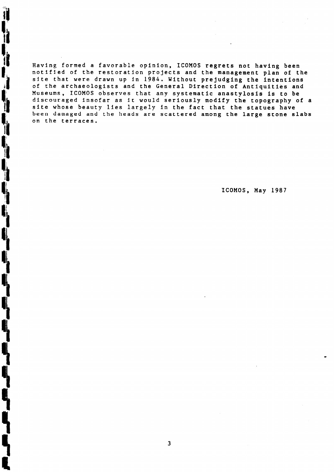Having formed a favorable opinion, ICOMOS regrets not having been notified of the restoration projects and the management plan of the site that were drawn up in 1984. Without prejudging the intentions of the archaeologists and the General Direction of Antiquities and Museums, ICOMOS observes that any systematic anastylosis is to be discouraged insofar as it would seriously modify the topography of a site whose beauty lies largely in the fact that the statues have been damaged and the heads are scattered among the large stone slabs on the terraces.

 $\blacksquare$ 

 $\mathbf{R}$ 

J

Ï

i<br>I

ICOMOS, May 1987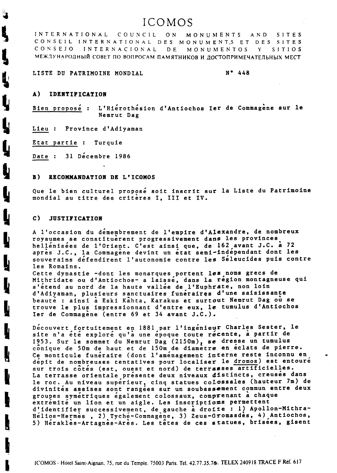# ICOMOS

COUNCIL ON INTERNATIONAL MONUMENTS AND SITES CONSEIL INTERNATIONAL DES MONUMENTS ET DES SITES DE CONSEJO INTERNACIONAL MONUMENTOS  $Y$ SITIOS МЕЖДУНАРОДНЫЙ СОВЕТ ПО ВОПРОСАМ ПАМЯТНИКОВ И ДОСТОПРИМЕЧАТЕЛЬНЫХ МЕСТ

## LISTE DU PATRIMOINE MONDIAL

 $N^{\bullet}$  448

### A) IDENTIFICATION

Ŋ

Ļ

L'Hiérothésion d'Antiochos Ier de Commagène sur le Bien proposé : Nemrut Dag

Lieu : Province d'Adiyaman

Etat partie : Turquie

Date: 31 Decembre 1986

#### RECOMMANDATION DE L'ICOMOS **B**)

Que le bien culturel proposé soit inscrit sur la Liste du Patrimoine mondial au titre des criteres I, III et IV.

#### C) **JUSTIFICATION**

A l'occasion du démembrement de l'empire d'Alexandre, de nombreux royaumes se constituerent progressivement dans les provinces. hellenisées de l'Orient. C'est ainsi que, de 162 avant J.C. à 72 après J.C., la Commagène devint un état semi-indépendant dont les souverains défendirent l'autonomie contre les Séleucides puis contre les Romains.

Cette dynastie -dont les monarques portent les noms grecs de Mithridate ou d'Antiochos- a laissé, dans la région montagneuse qui s'étend au nord de la haute vallée de l'Euphrate, non loin d'Adiyaman, plusieurs sanctuaires funéraires d'une saisissante beaute : ainsi à Eski Kahta, Karakus et surtout Nemrut Dag où se trouve le plus impressionnant d'entre eux, le tumulus d'Antiochos Ier de Commagène (entre 69 et 34 avant J.C.).

Decouvert fortuitement en 1881 par l'ingenieur Charles Sester, le site n'a été exploré qu'à une époque toute récente, à partir de 1953. Sur le sommet du Nemrut Dag (2150m), se dresse un tumulus conique de 50m de haut et de 150m de diametre en eclats de pierre. Ce monticule funéraire (dont l'aménagement interne reste inconnu en depit de nombreuses tentatives pour localiser le dromos) est entouré sur trois côtés (est, ouest et nord) de terrasses artificielles. La terrasse orientale présente deux niveaux distincts, creusés dans le roc. Au niveau superieur, cinq statues colossales (hauteur 7m) de divinites assises sont rangees sur un soubassement commun entre deux groupes symetriques egalement colossaux, comprenant a chaque extremite un lion et un aigle. Les inscriptions permettent d'identifier successivement, de gauche à droite : 1) Apollon-Mithra-<br>Hélios-Hermes, 2) Tyché-Commagene, 3) Zeus-Oromasdes, 4) Antiochos, 5) Herakles-Artagnes-Ares. Les têtes de ces statues, brisees, gisent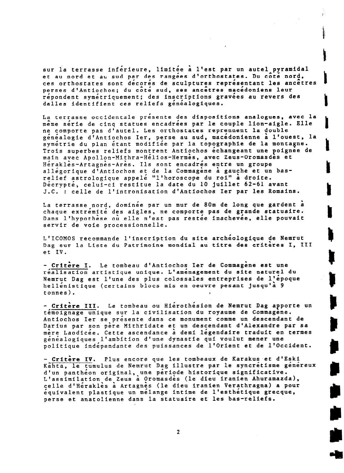sur la terrasse inférieure, limitée à l'est par un autel pyramidal et au nord et au sud par des rangées d'orthostates. Du côté nord, ces orthostates sont décorés de sculptures représentant les ancêtres perses d'Antiochos; du côté sud, ses ancetres macédoniens leur répondent symétriquement; des inscriptions gravées au revers des dalles identifient ces reliefs généalogiques.

La terrasse occidentale presente des dispositions analogues, avec la meme série de cinq statues encadrées par le couple lion-aigle. Elle ne comporte pas d'autel. Les orthostates reprennent la double généalogie d'Antiochos Ier, perse au sud, macedonienne a l'ouest, la symétrie du plan étant modifiée par la topographie de la montagne. Trois superbes reliefs montrent Antiochos echangeant une poignee de main avec Apollon-Mithra-Helios-Hermes, avec Zeus-Oromasdes et Hérakles-Artagnes-Ares. Ils sont encadrés entre un groupe allégorique d'Antiochos et de la Commagène à gauche et un basrelief astrologique appelé "l'horoscope du roi" à droite. Décrypté, celui-ci restitue la date du 10 juillet 62-61 avant J.C. : celle de l'intronisation d'Antiochos Ier par les Romains.

La terrasse nord, dominée par un mur de 80m de long que gardent a chaque extrémité des aigles, ne comporte pas de grande statuaire. Dans l'hypothèse où elle n'est pas restée inachevée, elle pouvait servir de vole processionnelle.

L'ICOMOS recommande l'inscription du site archéologique de Nemrut Dag sur la Liste du Patrimoine mondial au titre des criteres I, III et IV.

- Critere I. Le tombeau d'Antiochos Ier de Commagene est une réalisation artistique unique. L'aménagement du site naturel du Nemrut Dag est l'une des plus colossales entreprises de l'époque hellénistique (certains blocs mis en oeuvre pesant jusqu'à 9 tonnes). ,

- Critere III. Le tombeau ou Hierothesion de Nemrut Dag apporte un témoignage unique sur la civilisation du royaume de Commagène. Antiochos Ier se présente dans ce monument comme un descendant de Darius par son père Mithridate et un descendant d'Alexandre par sa mère Laodicée. Cette ascendance à demi légendaire traduit en termes généalogiques l'ambition d'une dynastie qui voulut mener une politique indépendante des puissances de l'Orient et de l'Occident.

- Critère IV. Plus encore que les tombeaux de Karakus et d'Esl Kahta, le tumulus de Nemrut Dag illustre par le syncretisme genereu d'un panthéon original, une période historique significative. L'assimilation de Zeus a Oromasdes (le dieu iranien Ahuramazda), celle d'Héraklès à Artagnès (le dieu iranien Verathragna) a pour equivalent plastique un melange intime de l'esthetique grecque, perse et anatolienne dans la statuaire et les bas-reliefs.